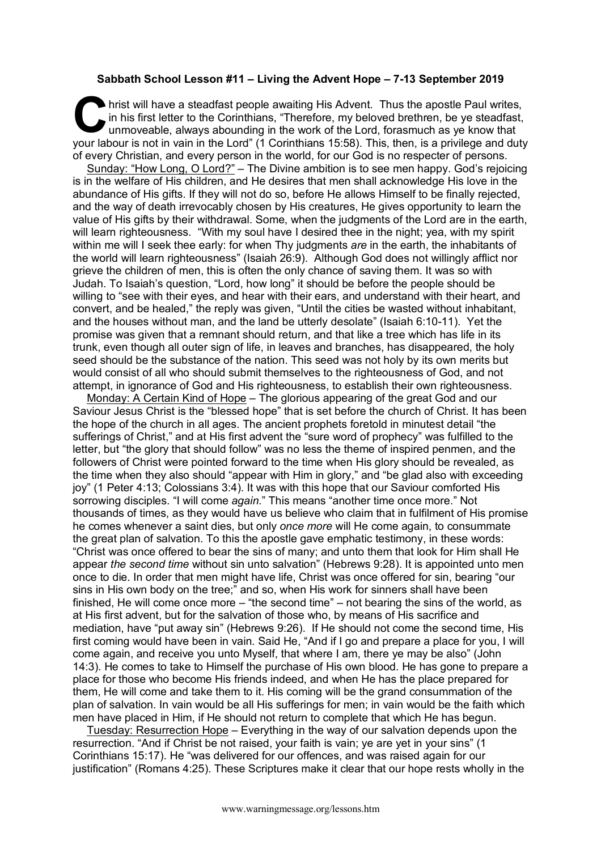## **Sabbath School Lesson #11 – Living the Advent Hope – 7-13 September 2019**

hrist will have a steadfast people awaiting His Advent. Thus the apostle Paul writes, in his first letter to the Corinthians, "Therefore, my beloved brethren, be ye steadfast, unmoveable, always abounding in the work of the Lord, forasmuch as ye know that It is not in the asteadfast people awaiting His Advent. Thus the apostle Paul writes, in his first letter to the Corinthians, "Therefore, my beloved brethren, be ye steadfast, unmoveable, always abounding in the work of th of every Christian, and every person in the world, for our God is no respecter of persons.

Sunday: "How Long, O Lord?" – The Divine ambition is to see men happy. God's rejoicing is in the welfare of His children, and He desires that men shall acknowledge His love in the abundance of His gifts. If they will not do so, before He allows Himself to be finally rejected, and the way of death irrevocably chosen by His creatures, He gives opportunity to learn the value of His gifts by their withdrawal. Some, when the judgments of the Lord are in the earth, will learn righteousness. "With my soul have I desired thee in the night; yea, with my spirit within me will I seek thee early: for when Thy judgments *are* in the earth, the inhabitants of the world will learn righteousness" (Isaiah 26:9). Although God does not willingly afflict nor grieve the children of men, this is often the only chance of saving them. It was so with Judah. To Isaiah's question, "Lord, how long" it should be before the people should be willing to "see with their eyes, and hear with their ears, and understand with their heart, and convert, and be healed," the reply was given, "Until the cities be wasted without inhabitant, and the houses without man, and the land be utterly desolate" (Isaiah 6:10-11). Yet the promise was given that a remnant should return, and that like a tree which has life in its trunk, even though all outer sign of life, in leaves and branches, has disappeared, the holy seed should be the substance of the nation. This seed was not holy by its own merits but would consist of all who should submit themselves to the righteousness of God, and not attempt, in ignorance of God and His righteousness, to establish their own righteousness.

Monday: A Certain Kind of Hope – The glorious appearing of the great God and our Saviour Jesus Christ is the "blessed hope" that is set before the church of Christ. It has been the hope of the church in all ages. The ancient prophets foretold in minutest detail "the sufferings of Christ," and at His first advent the "sure word of prophecy" was fulfilled to the letter, but "the glory that should follow" was no less the theme of inspired penmen, and the followers of Christ were pointed forward to the time when His glory should be revealed, as the time when they also should "appear with Him in glory," and "be glad also with exceeding joy" (1 Peter 4:13; Colossians 3:4). It was with this hope that our Saviour comforted His sorrowing disciples. "I will come *again*." This means "another time once more." Not thousands of times, as they would have us believe who claim that in fulfilment of His promise he comes whenever a saint dies, but only *once more* will He come again, to consummate the great plan of salvation. To this the apostle gave emphatic testimony, in these words: "Christ was once offered to bear the sins of many; and unto them that look for Him shall He appear *the second time* without sin unto salvation" (Hebrews 9:28). It is appointed unto men once to die. In order that men might have life, Christ was once offered for sin, bearing "our sins in His own body on the tree;" and so, when His work for sinners shall have been finished, He will come once more – "the second time" – not bearing the sins of the world, as at His first advent, but for the salvation of those who, by means of His sacrifice and mediation, have "put away sin" (Hebrews 9:26). If He should not come the second time, His first coming would have been in vain. Said He, "And if I go and prepare a place for you, I will come again, and receive you unto Myself, that where I am, there ye may be also" (John 14:3). He comes to take to Himself the purchase of His own blood. He has gone to prepare a place for those who become His friends indeed, and when He has the place prepared for them, He will come and take them to it. His coming will be the grand consummation of the plan of salvation. In vain would be all His sufferings for men; in vain would be the faith which men have placed in Him, if He should not return to complete that which He has begun.

Tuesday: Resurrection Hope – Everything in the way of our salvation depends upon the resurrection. "And if Christ be not raised, your faith is vain; ye are yet in your sins" (1 Corinthians 15:17). He "was delivered for our offences, and was raised again for our justification" (Romans 4:25). These Scriptures make it clear that our hope rests wholly in the